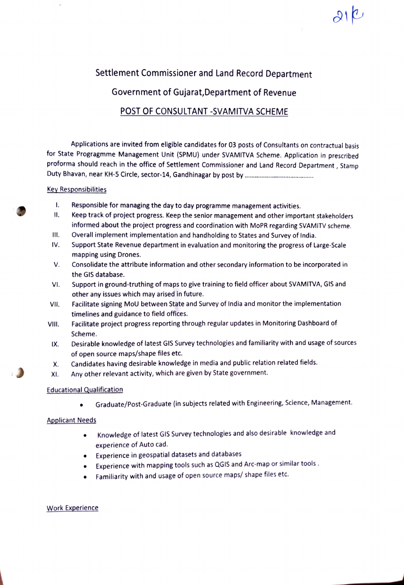# Settlement Commissioner and Land Record Department

Government of Gujarat,Department of Revenue

# POST OF CONSULTANT -SVAMITVA SCHEME

Applications are invited from eligible candidates for 03 posts of Consultants on contractual basis for State Progragmme Management Unit (SPMU) under SVAMITVA Scheme. Application in prescribed proforma should reach in the office of Settlement Commissioner and Land Record Department, Stamp Duty Bhavan, near KH-5 Circle, sector-14, Gandhinagar by post by .

#### Key Responsibilities

- $\mathbf{I}$ . Responsible for managing the day to day programme management activities.
- $\mathbf{II}$ . Keep track of project progress. Keep the senior management and other important stakeholders informed about the project progress and coordination with MoPR regarding SVAMITV scheme.
- Overall implement implementation and handholding to States and Survey of India. I1.
- Support State Revenue department in evaluation and monitoring the progress of Large-Scale mapping using Drones. IV.
- Consolidate the attribute information and other secondary information to be incorporated in V. the GIS database.
- Support in ground-truthing of maps to give training to field officer about SVAMITVA, GIS and other any issues which may arised in future. VI.
- Facilitate signing MoU between State and Survey of India and monitor the implementation timelines and guidance to field offices. VII.
- Facilitate project progress reporting through regular updates in Monitoring Dashboard of VII. Scheme.
- IX. Desirable knowledge of latest GIS Survey technologies and familiarity with and usage of sources of open source maps/shape files etc.
- Candidates having desirable knowledge in media and public relation related fields. X.
- Any other relevant activity, which are given by State government. XI.

# Educational Qualification

Graduate/Post-Graduate (in subjects related with Engineering, Science, Management.  $\bullet$ 

# Applicant Needs

- Knowledge of latest GIS Survey technologies and also desirable knowledge and experience of Auto cad.
- Experience in geospatial datasets and databases  $\bullet$
- Experience with mapping tools such as QGIS and Arc-map or similar tools.
- Familiarity with and usage of open source maps/ shape files etc.

# Work Experience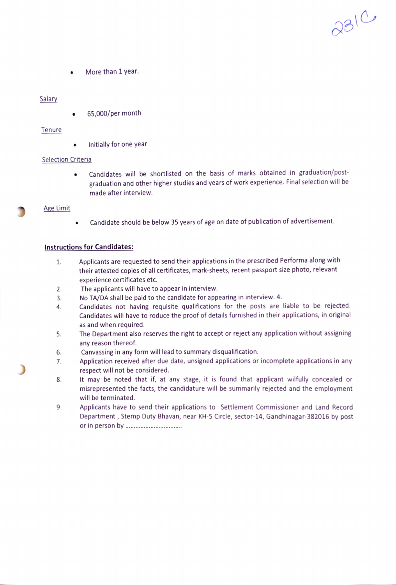More than 1 year.

#### Salary

65,000/per month

#### Tenure

Initially for one year  $\bullet$ 

#### Selection Criteria

Candidates will be shortlisted on the basis of marks obtained in graduation/post graduation and other higher studies and years of work experience. Final selection will be made after interview.

 $2310$ 

#### Age Limit

Candidate should be below 35 years of age on date of publication of advertisement.  $\bullet$ 

# Instructions for Candidates:

- Applicants are requested to send their applications in the prescribed Performa along with their attested copies of all certificates, mark-sheets, recent passport size photo, relevant 1. experience certificates etc.
- The applicants will have to appear in interview. 2.
- No TA/DA shall be paid to the candidate for appearing in interview. 4. 3.
- Candidates not having requisite qualifications for the posts are liable to be rejected. Candidates will have to roduce the proof of details furnished in their applications, in original as and when required. 4.
- The Department also reserves the right to accept or reject any application without assigning any reason thereof. 5.
- Canvassing in any form will lead to summary disqualification. 6.
- Application received after due date, unsigned applications or incomplete applications in any respect will not be considered. 1.
- 8. It may be noted that if, at any stage, it is found that applicant wilfully concealed or misrepresented the facts, the candidature will be summarily rejected and the employment will be terminated.
- Applicants have to send their applications to Settlement Commissioner and Land Record Department, Stemp Duty Bhavan, near KH-5 Circle, sector-14, Gandhinagar-382016 by post or in person by . \*\*\*\*\*\*\*\*\*\*\*\*\*\*\*\*\*\*\*\* 9.